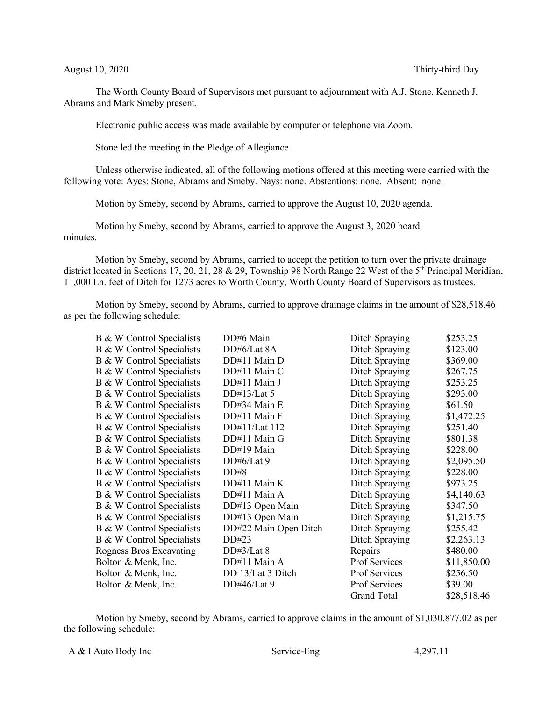The Worth County Board of Supervisors met pursuant to adjournment with A.J. Stone, Kenneth J. Abrams and Mark Smeby present.

Electronic public access was made available by computer or telephone via Zoom.

Stone led the meeting in the Pledge of Allegiance.

Unless otherwise indicated, all of the following motions offered at this meeting were carried with the following vote: Ayes: Stone, Abrams and Smeby. Nays: none. Abstentions: none. Absent: none.

Motion by Smeby, second by Abrams, carried to approve the August 10, 2020 agenda.

Motion by Smeby, second by Abrams, carried to approve the August 3, 2020 board minutes.

Motion by Smeby, second by Abrams, carried to accept the petition to turn over the private drainage district located in Sections 17, 20, 21, 28 & 29, Township 98 North Range 22 West of the 5<sup>th</sup> Principal Meridian, 11,000 Ln. feet of Ditch for 1273 acres to Worth County, Worth County Board of Supervisors as trustees.

Motion by Smeby, second by Abrams, carried to approve drainage claims in the amount of \$28,518.46 as per the following schedule:

| B & W Control Specialists | DD#6 Main             | Ditch Spraying     | \$253.25    |
|---------------------------|-----------------------|--------------------|-------------|
| B & W Control Specialists | DD#6/Lat 8A           | Ditch Spraying     | \$123.00    |
| B & W Control Specialists | DD#11 Main D          | Ditch Spraying     | \$369.00    |
| B & W Control Specialists | DD#11 Main C          | Ditch Spraying     | \$267.75    |
| B & W Control Specialists | DD#11 Main J          | Ditch Spraying     | \$253.25    |
| B & W Control Specialists | DD#13/Lat $5$         | Ditch Spraying     | \$293.00    |
| B & W Control Specialists | DD#34 Main E          | Ditch Spraying     | \$61.50     |
| B & W Control Specialists | DD#11 Main F          | Ditch Spraying     | \$1,472.25  |
| B & W Control Specialists | DD#11/Lat 112         | Ditch Spraying     | \$251.40    |
| B & W Control Specialists | DD#11 Main G          | Ditch Spraying     | \$801.38    |
| B & W Control Specialists | DD#19 Main            | Ditch Spraying     | \$228.00    |
| B & W Control Specialists | DD#6/Lat 9            | Ditch Spraying     | \$2,095.50  |
| B & W Control Specialists | DD#8                  | Ditch Spraying     | \$228.00    |
| B & W Control Specialists | DD#11 Main K          | Ditch Spraying     | \$973.25    |
| B & W Control Specialists | DD#11 Main A          | Ditch Spraying     | \$4,140.63  |
| B & W Control Specialists | DD#13 Open Main       | Ditch Spraying     | \$347.50    |
| B & W Control Specialists | DD#13 Open Main       | Ditch Spraying     | \$1,215.75  |
| B & W Control Specialists | DD#22 Main Open Ditch | Ditch Spraying     | \$255.42    |
| B & W Control Specialists | DD#23                 | Ditch Spraying     | \$2,263.13  |
| Rogness Bros Excavating   | DD#3/Lat 8            | Repairs            | \$480.00    |
| Bolton & Menk, Inc.       | DD#11 Main A          | Prof Services      | \$11,850.00 |
| Bolton & Menk, Inc.       | DD 13/Lat 3 Ditch     | Prof Services      | \$256.50    |
| Bolton & Menk, Inc.       | DD#46/Lat 9           | Prof Services      | \$39.00     |
|                           |                       | <b>Grand Total</b> | \$28,518.46 |

Motion by Smeby, second by Abrams, carried to approve claims in the amount of \$1,030,877.02 as per the following schedule: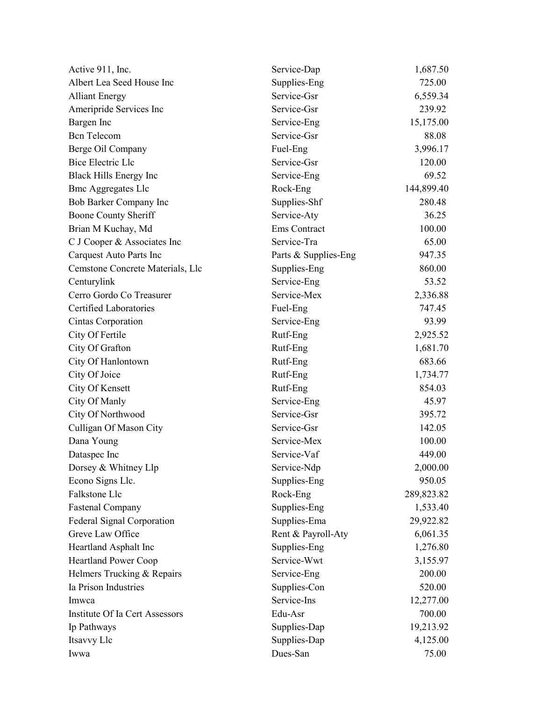| Active 911, Inc.                 | Service-Dap          | 1,687.50   |
|----------------------------------|----------------------|------------|
| Albert Lea Seed House Inc        | Supplies-Eng         | 725.00     |
| <b>Alliant Energy</b>            | Service-Gsr          | 6,559.34   |
| Ameripride Services Inc          | Service-Gsr          | 239.92     |
| Bargen Inc                       | Service-Eng          | 15,175.00  |
| <b>Bcn</b> Telecom               | Service-Gsr          | 88.08      |
| Berge Oil Company                | Fuel-Eng             | 3,996.17   |
| <b>Bice Electric Llc</b>         | Service-Gsr          | 120.00     |
| Black Hills Energy Inc           | Service-Eng          | 69.52      |
| <b>Bmc Aggregates Llc</b>        | Rock-Eng             | 144,899.40 |
| Bob Barker Company Inc           | Supplies-Shf         | 280.48     |
| Boone County Sheriff             | Service-Aty          | 36.25      |
| Brian M Kuchay, Md               | Ems Contract         | 100.00     |
| C J Cooper & Associates Inc      | Service-Tra          | 65.00      |
| Carquest Auto Parts Inc          | Parts & Supplies-Eng | 947.35     |
| Cemstone Concrete Materials, Llc | Supplies-Eng         | 860.00     |
| Centurylink                      | Service-Eng          | 53.52      |
| Cerro Gordo Co Treasurer         | Service-Mex          | 2,336.88   |
| <b>Certified Laboratories</b>    | Fuel-Eng             | 747.45     |
| Cintas Corporation               | Service-Eng          | 93.99      |
| City Of Fertile                  | Rutf-Eng             | 2,925.52   |
| City Of Grafton                  | Rutf-Eng             | 1,681.70   |
| City Of Hanlontown               | Rutf-Eng             | 683.66     |
| City Of Joice                    | Rutf-Eng             | 1,734.77   |
| City Of Kensett                  | Rutf-Eng             | 854.03     |
| City Of Manly                    | Service-Eng          | 45.97      |
| City Of Northwood                | Service-Gsr          | 395.72     |
| Culligan Of Mason City           | Service-Gsr          | 142.05     |
| Dana Young                       | Service-Mex          | 100.00     |
| Dataspec Inc                     | Service-Vaf          | 449.00     |
| Dorsey & Whitney Llp             | Service-Ndp          | 2,000.00   |
| Econo Signs Llc.                 | Supplies-Eng         | 950.05     |
| Falkstone Llc                    | Rock-Eng             | 289,823.82 |
| <b>Fastenal Company</b>          | Supplies-Eng         | 1,533.40   |
| Federal Signal Corporation       | Supplies-Ema         | 29,922.82  |
| Greve Law Office                 | Rent & Payroll-Aty   | 6,061.35   |
| Heartland Asphalt Inc            | Supplies-Eng         | 1,276.80   |
| <b>Heartland Power Coop</b>      | Service-Wwt          | 3,155.97   |
| Helmers Trucking & Repairs       | Service-Eng          | 200.00     |
| Ia Prison Industries             | Supplies-Con         | 520.00     |
| Imwca                            | Service-Ins          | 12,277.00  |
| Institute Of Ia Cert Assessors   | Edu-Asr              | 700.00     |
| Ip Pathways                      | Supplies-Dap         | 19,213.92  |
| Itsavvy Llc                      | Supplies-Dap         | 4,125.00   |
| Iwwa                             | Dues-San             | 75.00      |